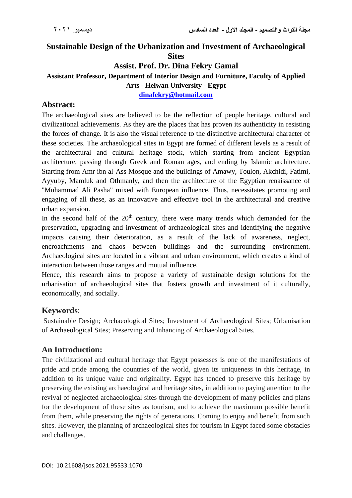### **Sustainable Design of the Urbanization and Investment of Archaeological Sites Assist. Prof. Dr. Dina Fekry Gamal Assistant Professor, Department of Interior Design and Furniture, Faculty of Applied Arts - Helwan University - Egypt [dinafekry@hotmail.com](mailto:dinafekry@hotmail.com)**

### **Abstract:**

The archaeological sites are believed to be the reflection of people heritage, cultural and civilizational achievements. As they are the places that has proven its authenticity in resisting the forces of change. It is also the visual reference to the distinctive architectural character of these societies. The archaeological sites in Egypt are formed of different levels as a result of the architectural and cultural heritage stock, which starting from ancient Egyptian architecture, passing through Greek and Roman ages, and ending by Islamic architecture. Starting from Amr ibn al-Ass Mosque and the buildings of Amawy, Toulon, Akchidi, Fatimi, Ayyuby, Mamluk and Othmanly, and then the architecture of the Egyptian renaissance of "Muhammad Ali Pasha" mixed with European influence. Thus, necessitates promoting and engaging of all these, as an innovative and effective tool in the architectural and creative urban expansion.

In the second half of the  $20<sup>th</sup>$  century, there were many trends which demanded for the preservation, upgrading and investment of archaeological sites and identifying the negative impacts causing their deterioration, as a result of the lack of awareness, neglect, encroachments and chaos between buildings and the surrounding environment. Archaeological sites are located in a vibrant and urban environment, which creates a kind of interaction between those ranges and mutual influence.

Hence, this research aims to propose a variety of sustainable design solutions for the urbanisation of archaeological sites that fosters growth and investment of it culturally, economically, and socially.

#### **Keywords**:

Sustainable Design; Archaeological Sites; Investment of Archaeological Sites; Urbanisation of Archaeological Sites; Preserving and Inhancing of Archaeological Sites.

#### **An Introduction:**

The civilizational and cultural heritage that Egypt possesses is one of the manifestations of pride and pride among the countries of the world, given its uniqueness in this heritage, in addition to its unique value and originality. Egypt has tended to preserve this heritage by preserving the existing archaeological and heritage sites, in addition to paying attention to the revival of neglected archaeological sites through the development of many policies and plans for the development of these sites as tourism, and to achieve the maximum possible benefit from them, while preserving the rights of generations. Coming to enjoy and benefit from such sites. However, the planning of archaeological sites for tourism in Egypt faced some obstacles and challenges.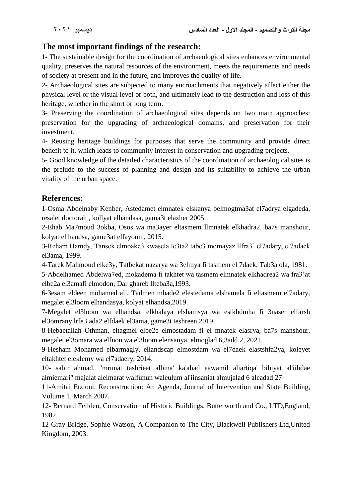# **The most important findings of the research:**

1- The sustainable design for the coordination of archaeological sites enhances environmental quality, preserves the natural resources of the environment, meets the requirements and needs of society at present and in the future, and improves the quality of life.

2- Archaeological sites are subjected to many encroachments that negatively affect either the physical level or the visual level or both, and ultimately lead to the destruction and loss of this heritage, whether in the short or long term.

3- Preserving the coordination of archaeological sites depends on two main approaches: preservation for the upgrading of archaeological domains, and preservation for their investment.

4- Reusing heritage buildings for purposes that serve the community and provide direct benefit to it, which leads to community interest in conservation and upgrading projects.

5- Good knowledge of the detailed characteristics of the coordination of archaeological sites is the prelude to the success of planning and design and its suitability to achieve the urban vitality of the urban space.

# **References:**

1-Osma Abdelnaby Kenber, Astedamet elmnatek elskanya belmogtma3at el7adrya elgadeda, resalet doctorah , kollyat elhandasa, gama3t elazher 2005.

2-Ehab Ma7moud 3okba, Osos wa ma3ayer eltasmem llmnatek elkhadra2, ba7s manshour, kolyat el handsa, game3at elfayoum, 2015.

3-Reham Hamdy, Tansek elmoake3 kwasela le3ta2 tabe3 momayaz llfra3' el7adary, el7adaek el3ama, 1999.

4-Tarek Mahmoud elke3y, Tatbekat nazarya wa 3elmya fi tasmem el 7daek, Tab3a ola, 1981.

5-Abdelhamed Abdelwa7ed, mokadema fi takhtet wa tasmem elmnatek elkhadrea2 wa fra3'at elbe2a el3amafi elmodon, Dar ghareb llteba3a,1993.

6-3esam eldeen mohamed ali, Tadmen mbade2 elestedama elshamela fi eltasmem el7adary, megalet el3loom elhandasya, kolyat elhandsa,2019.

7-Megalet el3loom wa elhandsa, elkhalaya elshamsya wa estkhdmha fi 3naser elfarsh el3omrany lrfe3 ada2 elfdaek el3ama, game3t teshreen,2019.

8-Hebaetallah Othman, eltagmel elbe2e elmostadam fi el mnatek elasrya, ba7s manshour, megalet el3omara wa elfnon wa el3loom elensanya, elmoglad 6,3add 2, 2021.

9-Hesham Mohamed elbarmagly, ellandscap elmostdam wa el7daek elastshfa2ya, koleyet eltakhtet eleklemy wa el7adaery, 2014.

10- sabir ahmad. "mrunat tashrieat albina' ka'ahad eawamil aliartiqa' bibiyat al'iibdae almiemari" majalat aleimarat walfunun waleulum al'iinsaniat almujalad 6 aleadad 27

11-Amitai Etzioni, Reconstruction: An Agenda, Journal of Intervention and State Building, Volume 1, March 2007.

12- Bernard Feilden, Conservation of Historic Buildings, Butterworth and Co., LTD,England, 1982.

12-Gray Bridge, Sophie Watson, A Companion to The City, Blackwell Publishers Ltd,United Kingdom, 2003.